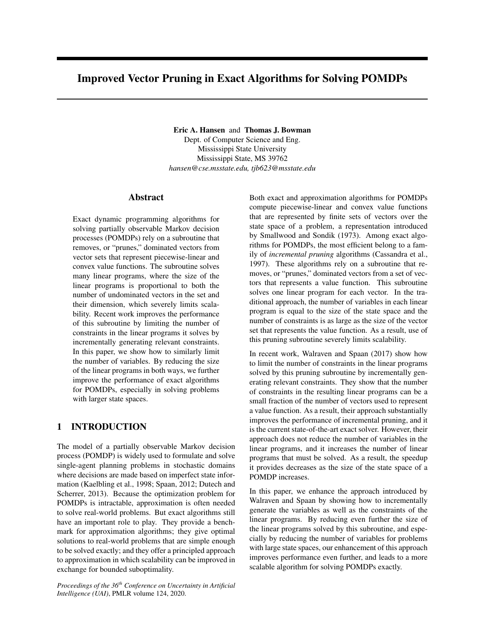# Improved Vector Pruning in Exact Algorithms for Solving POMDPs

Eric A. Hansen and Thomas J. Bowman

Dept. of Computer Science and Eng. Mississippi State University Mississippi State, MS 39762 *hansen@cse.msstate.edu, tjb623@msstate.edu*

# Abstract

Exact dynamic programming algorithms for solving partially observable Markov decision processes (POMDPs) rely on a subroutine that removes, or "prunes," dominated vectors from vector sets that represent piecewise-linear and convex value functions. The subroutine solves many linear programs, where the size of the linear programs is proportional to both the number of undominated vectors in the set and their dimension, which severely limits scalability. Recent work improves the performance of this subroutine by limiting the number of constraints in the linear programs it solves by incrementally generating relevant constraints. In this paper, we show how to similarly limit the number of variables. By reducing the size of the linear programs in both ways, we further improve the performance of exact algorithms for POMDPs, especially in solving problems with larger state spaces.

# 1 INTRODUCTION

The model of a partially observable Markov decision process (POMDP) is widely used to formulate and solve single-agent planning problems in stochastic domains where decisions are made based on imperfect state information (Kaelbling et al., 1998; Spaan, 2012; Dutech and Scherrer, 2013). Because the optimization problem for POMDPs is intractable, approximation is often needed to solve real-world problems. But exact algorithms still have an important role to play. They provide a benchmark for approximation algorithms; they give optimal solutions to real-world problems that are simple enough to be solved exactly; and they offer a principled approach to approximation in which scalability can be improved in exchange for bounded suboptimality.

*Proceedings of the 36th Conference on Uncertainty in Artificial Intelligence (UAI)*, PMLR volume 124, 2020.

Both exact and approximation algorithms for POMDPs compute piecewise-linear and convex value functions that are represented by finite sets of vectors over the state space of a problem, a representation introduced by Smallwood and Sondik (1973). Among exact algorithms for POMDPs, the most efficient belong to a family of *incremental pruning* algorithms (Cassandra et al., 1997). These algorithms rely on a subroutine that removes, or "prunes," dominated vectors from a set of vectors that represents a value function. This subroutine solves one linear program for each vector. In the traditional approach, the number of variables in each linear program is equal to the size of the state space and the number of constraints is as large as the size of the vector set that represents the value function. As a result, use of this pruning subroutine severely limits scalability.

In recent work, Walraven and Spaan (2017) show how to limit the number of constraints in the linear programs solved by this pruning subroutine by incrementally generating relevant constraints. They show that the number of constraints in the resulting linear programs can be a small fraction of the number of vectors used to represent a value function. As a result, their approach substantially improves the performance of incremental pruning, and it is the current state-of-the-art exact solver. However, their approach does not reduce the number of variables in the linear programs, and it increases the number of linear programs that must be solved. As a result, the speedup it provides decreases as the size of the state space of a POMDP increases.

In this paper, we enhance the approach introduced by Walraven and Spaan by showing how to incrementally generate the variables as well as the constraints of the linear programs. By reducing even further the size of the linear programs solved by this subroutine, and especially by reducing the number of variables for problems with large state spaces, our enhancement of this approach improves performance even further, and leads to a more scalable algorithm for solving POMDPs exactly.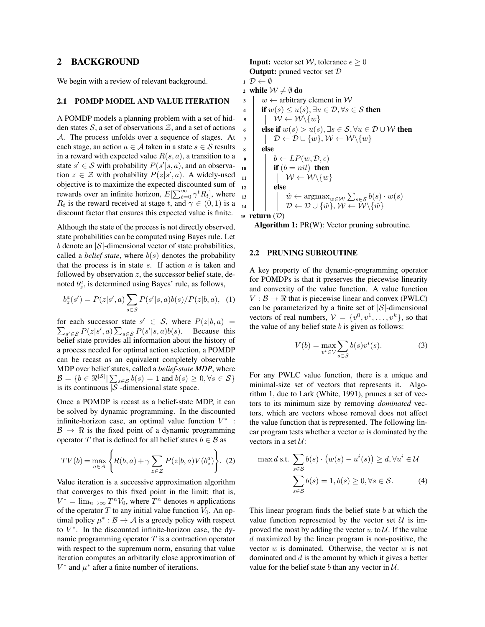# 2 BACKGROUND

We begin with a review of relevant background.

## 2.1 POMDP MODEL AND VALUE ITERATION

A POMDP models a planning problem with a set of hidden states  $S$ , a set of observations  $\mathcal{Z}$ , and a set of actions *A*. The process unfolds over a sequence of stages. At each stage, an action  $a \in \mathcal{A}$  taken in a state  $s \in \mathcal{S}$  results in a reward with expected value *R*(*s, a*), a transition to a state  $s' \in S$  with probability  $P(s'|s, a)$ , and an observation  $z \in \mathcal{Z}$  with probability  $P(z|s', a)$ . A widely-used objective is to maximize the expected discounted sum of rewards over an infinite horizon,  $E[\sum_{t=0}^{\infty} \gamma^t R_t]$ , where *R*<sup>t</sup> is the reward received at stage *t*, and  $\gamma \in (0, 1)$  is a discount factor that ensures this expected value is finite.

Although the state of the process is not directly observed, state probabilities can be computed using Bayes rule. Let *b* denote an *|S|*-dimensional vector of state probabilities, called a *belief state*, where  $b(s)$  denotes the probability that the process is in state *s*. If action *a* is taken and followed by observation *z*, the successor belief state, denoted  $b^a_z$ , is determined using Bayes' rule, as follows,

$$
b_z^a(s') = P(z|s',a) \sum_{s \in S} P(s'|s,a)b(s)/P(z|b,a), \quad (1)
$$

for each successor state  $s' \in S$ , where  $P(z|b, a) =$  $\sum_{s' \in \mathcal{S}} P(z|s', a) \sum_{s \in \mathcal{S}} P(s'|s, a) b(s)$ . Because this belief state provides all information about the history of a process needed for optimal action selection, a POMDP can be recast as an equivalent completely observable MDP over belief states, called a *belief-state MDP*, where  $\mathcal{B} = \{b \in \Re^{|\mathcal{S}|} | \sum_{s \in \mathcal{S}} b(s) = 1 \text{ and } b(s) \ge 0, \forall s \in \mathcal{S}\}\$ is its continuous *|S|*-dimensional state space.

Once a POMDP is recast as a belief-state MDP, it can be solved by dynamic programming. In the discounted infinite-horizon case, an optimal value function  $V^*$  :  $\beta \rightarrow \Re$  is the fixed point of a dynamic programming operator *T* that is defined for all belief states  $b \in \mathcal{B}$  as

$$
TV(b) = \max_{a \in A} \left\{ R(b, a) + \gamma \sum_{z \in \mathcal{Z}} P(z|b, a) V(b_z^a) \right\}.
$$
 (2)

Value iteration is a successive approximation algorithm that converges to this fixed point in the limit; that is,  $V^* = \lim_{n \to \infty} T^n V_0$ , where  $T^n$  denotes *n* applications of the operator  $T$  to any initial value function  $V_0$ . An optimal policy  $\mu^*: \mathcal{B} \to \mathcal{A}$  is a greedy policy with respect to  $V^*$ . In the discounted infinite-horizon case, the dynamic programming operator *T* is a contraction operator with respect to the supremum norm, ensuring that value iteration computes an arbitrarily close approximation of  $V^*$  and  $\mu^*$  after a finite number of iterations.

**Input:** vector set *W*, tolerance  $\epsilon > 0$ Output: pruned vector set *D*

- $1 \mathcal{D} \leftarrow \emptyset$
- 

2 **while**  $W \neq \emptyset$  **do**<br>3  $w \leftarrow$  arbitrar  $\begin{array}{c|c} \text{3} & w \leftarrow \text{arbitrary element in } \mathcal{W} \\ \text{4} & \text{if } w(s) \leq u(s), \exists u \in \mathcal{D}, \forall s \in \mathcal{W} \end{array}$  $\begin{array}{c}\n\mathbf{u} \mathbf{f} \quad \mathbf{u}(s) \leq u(s), \exists u \in \mathcal{D}, \forall s \in \mathcal{S} \text{ then} \\
\mathbf{v} \quad \downarrow \mathcal{W} \leftarrow \mathcal{W} \setminus \{w\}\n\end{array}$  $\begin{array}{c|c} \hline \text{s} & \text{W} \leftarrow \text{W} \setminus \{w\} \\ \hline \text{else if } w(s) > u(s) \end{array}$ 6 else if  $w(s) > u(s), \exists s \in S, \forall u \in D \cup W$  then<br>  $\mathcal{D} \leftarrow D \cup \{w\}, \mathcal{W} \leftarrow \mathcal{W} \setminus \{w\}$  $\begin{array}{c} \n\mathbf{7} \\
\mathbf{8} \\
\mathbf{else}\n\end{array}$   $\begin{array}{c} \n\mathbf{D} \leftarrow \mathcal{D} \cup \{w\}, \mathcal{W} \leftarrow \mathcal{W} \setminus \{w\} \\
\mathbf{else}\n\end{array}$ else 9 **b**  $\leftarrow LP(w, \mathcal{D}, \epsilon)$ <br>**if**  $(b = nil)$  **then** if  $(b = nil)$  then  $\begin{array}{|c|c|c|c|}\n\hline\n\text{11} & \text{else}\n\end{array}$ else  $\hat{w} \leftarrow \arg\max_{w \in \mathcal{W}} \sum_{s \in \mathcal{S}} b(s) \cdot w(s)$  $D \leftarrow D \cup \{\hat{w}\}, \mathcal{W} \leftarrow \mathcal{W} \setminus \{\hat{w}\}$ 

<sup>15</sup> return (*D*)

Algorithm 1: PR(W): Vector pruning subroutine.

#### 2.2 PRUNING SUBROUTINE

A key property of the dynamic-programming operator for POMDPs is that it preserves the piecewise linearity and convexity of the value function. A value function  $V : \mathcal{B} \to \mathbb{R}$  that is piecewise linear and convex (PWLC) can be parameterized by a finite set of *|S|*-dimensional vectors of real numbers,  $V = \{v^0, v^1, \ldots, v^k\}$ , so that the value of any belief state *b* is given as follows:

$$
V(b) = \max_{v^i \in \mathcal{V}} \sum_{s \in \mathcal{S}} b(s) v^i(s).
$$
 (3)

For any PWLC value function, there is a unique and minimal-size set of vectors that represents it. Algorithm 1, due to Lark (White, 1991), prunes a set of vectors to its minimum size by removing *dominated* vectors, which are vectors whose removal does not affect the value function that is represented. The following linear program tests whether a vector *w* is dominated by the vectors in a set *U*:

$$
\max d \text{ s.t. } \sum_{s \in S} b(s) \cdot \left(w(s) - u^i(s)\right) \ge d, \forall u^i \in \mathcal{U}
$$

$$
\sum_{s \in S} b(s) = 1, b(s) \ge 0, \forall s \in S. \tag{4}
$$

This linear program finds the belief state *b* at which the value function represented by the vector set  $U$  is improved the most by adding the vector  $w$  to  $U$ . If the value *d* maximized by the linear program is non-positive, the vector *w* is dominated. Otherwise, the vector *w* is not dominated and *d* is the amount by which it gives a better value for the belief state  $b$  than any vector in  $U$ .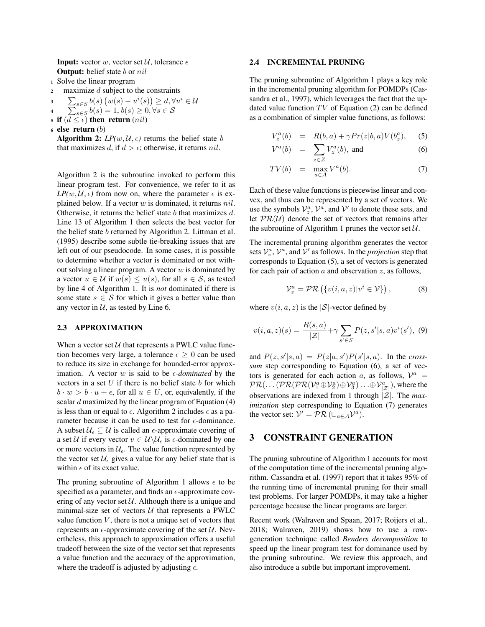**Input:** vector *w*, vector set  $\mathcal{U}$ , tolerance  $\epsilon$ Output: belief state *b* or *nil*

<sup>1</sup> Solve the linear program

<sup>2</sup> maximize *d* subject to the constraints

$$
\sum_{s \in S} b(s) \left( w(s) - u^i(s) \right) \ge d, \forall u^i \in \mathcal{U}
$$
\n
$$
\sum_{s \in S} b(s) = 1, b(s) \ge 0, \forall s \in \mathcal{S}
$$

- 4
- 5 if  $(d \leq \epsilon)$  then return  $(nil)$
- <sup>6</sup> else return (*b*)
	- Algorithm 2:  $LP(w, U, \epsilon)$  returns the belief state *b* that maximizes *d*, if  $d > \epsilon$ ; otherwise, it returns *nil*.

Algorithm 2 is the subroutine invoked to perform this linear program test. For convenience, we refer to it as  $LP(w, U, \epsilon)$  from now on, where the parameter  $\epsilon$  is explained below. If a vector *w* is dominated, it returns *nil*. Otherwise, it returns the belief state *b* that maximizes *d*. Line 13 of Algorithm 1 then selects the best vector for the belief state *b* returned by Algorithm 2. Littman et al. (1995) describe some subtle tie-breaking issues that are left out of our pseudocode. In some cases, it is possible to determine whether a vector is dominated or not without solving a linear program. A vector *w* is dominated by a vector  $u \in \mathcal{U}$  if  $w(s) \leq u(s)$ , for all  $s \in \mathcal{S}$ , as tested by line 4 of Algorithm 1. It is *not* dominated if there is some state  $s \in S$  for which it gives a better value than any vector in  $U$ , as tested by Line 6.

## 2.3 APPROXIMATION

When a vector set  $U$  that represents a PWLC value function becomes very large, a tolerance  $\epsilon \geq 0$  can be used to reduce its size in exchange for bounded-error approximation. A vector  $w$  is said to be  $\epsilon$ -*dominated* by the vectors in a set *U* if there is no belief state *b* for which  $b \cdot w > b \cdot u + \epsilon$ , for all  $u \in U$ , or, equivalently, if the scalar *d* maximized by the linear program of Equation (4) is less than or equal to  $\epsilon$ . Algorithm 2 includes  $\epsilon$  as a parameter because it can be used to test for  $\epsilon$ -dominance. A subset  $\mathcal{U}_{\epsilon} \subseteq \mathcal{U}$  is called an  $\epsilon$ -approximate covering of a set *U* if every vector  $v \in U \backslash U_{\epsilon}$  is  $\epsilon$ -dominated by one or more vectors in  $\mathcal{U}_{\epsilon}$ . The value function represented by the vector set  $\mathcal{U}_{\epsilon}$  gives a value for any belief state that is within  $\epsilon$  of its exact value.

The pruning subroutine of Algorithm 1 allows  $\epsilon$  to be specified as a parameter, and finds an  $\epsilon$ -approximate covering of any vector set  $U$ . Although there is a unique and minimal-size set of vectors *U* that represents a PWLC value function  $V$ , there is not a unique set of vectors that represents an  $\epsilon$ -approximate covering of the set  $\mathcal{U}$ . Nevertheless, this approach to approximation offers a useful tradeoff between the size of the vector set that represents a value function and the accuracy of the approximation, where the tradeoff is adjusted by adjusting  $\epsilon$ .

## 2.4 INCREMENTAL PRUNING

The pruning subroutine of Algorithm 1 plays a key role in the incremental pruning algorithm for POMDPs (Cassandra et al., 1997), which leverages the fact that the updated value function  $TV$  of Equation  $(2)$  can be defined as a combination of simpler value functions, as follows:

$$
V_z^a(b) = R(b, a) + \gamma Pr(z|b, a) V(b_z^a), \quad (5)
$$

$$
V^{a}(b) = \sum_{z \in Z} V_{z}^{a}(b), \text{ and } (6)
$$

$$
TV(b) = \max_{a \in A} V^a(b). \tag{7}
$$

Each of these value functions is piecewise linear and convex, and thus can be represented by a set of vectors. We use the symbols  $V_z^a$ ,  $V^a$ , and  $V'$  to denote these sets, and let  $PR(\mathcal{U})$  denote the set of vectors that remains after the subroutine of Algorithm 1 prunes the vector set *U*.

The incremental pruning algorithm generates the vector sets  $\mathcal{V}_z^a$ ,  $\mathcal{V}^a$ , and  $\mathcal{V}'$  as follows. In the *projection* step that corresponds to Equation (5), a set of vectors is generated for each pair of action *a* and observation *z*, as follows,

$$
\mathcal{V}_z^a = \mathcal{PR}\left(\{v(i, a, z)|v^i \in \mathcal{V}\}\right),\tag{8}
$$

where  $v(i, a, z)$  is the  $|S|$ -vector defined by

$$
v(i, a, z)(s) = \frac{R(s, a)}{|\mathcal{Z}|} + \gamma \sum_{s' \in S} P(z, s'|s, a)v^{i}(s'), (9)
$$

and  $P(z, s'|s, a) = P(z|a, s')P(s'|s, a)$ . In the *crosssum* step corresponding to Equation (6), a set of vectors is generated for each action *a*, as follows,  $V^a$  =  $\mathcal{PR}(\ldots(\mathcal{PR}(\mathcal{PR}(V_1^a \oplus V_2^a) \oplus V_3^a) \ldots \oplus V_{|\mathcal{Z}|}^a),$  where the observations are indexed from 1 through *|Z|*. The *maximization* step corresponding to Equation (7) generates the vector set:  $V' = \mathcal{PR} (\cup_{a \in \mathcal{A}} \mathcal{V}^a).$ 

## 3 CONSTRAINT GENERATION

The pruning subroutine of Algorithm 1 accounts for most of the computation time of the incremental pruning algorithm. Cassandra et al. (1997) report that it takes 95% of the running time of incremental pruning for their small test problems. For larger POMDPs, it may take a higher percentage because the linear programs are larger.

Recent work (Walraven and Spaan, 2017; Roijers et al., 2018; Walraven, 2019) shows how to use a rowgeneration technique called *Benders decomposition* to speed up the linear program test for dominance used by the pruning subroutine. We review this approach, and also introduce a subtle but important improvement.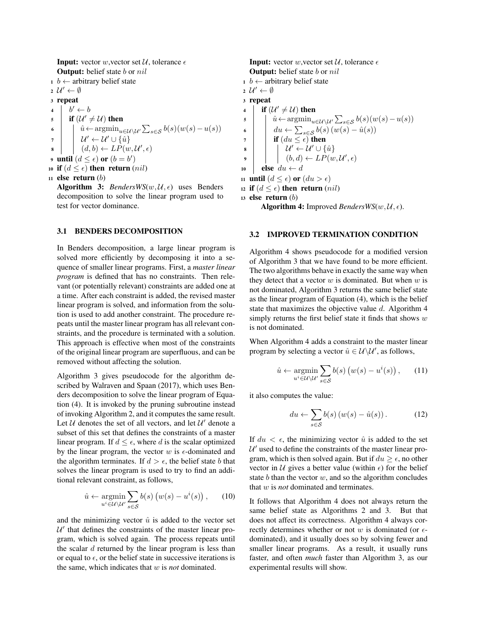**Input:** vector *w*, vector set  $\mathcal{U}$ , tolerance  $\epsilon$ Output: belief state *b* or *nil*

 $1 \; b \leftarrow$  arbitrary belief state

 $2 \mathcal{U}' \leftarrow \emptyset$ 

<sup>3</sup> repeat

 $\begin{array}{c|c} \n\mathbf{4} & b' \leftarrow b \\
\hline\n\mathbf{5} & \mathbf{if} \ (\mathcal{U}' = \mathbf{0})\n\end{array}$ 

 $\begin{array}{c|c} \n\mathbf{s} & \n\mathbf{if} \ (\mathcal{U}' \neq \mathcal{U}) \text{ then} \\
\hline\n\mathbf{0} & \hat{u} \leftarrow \text{argmin}_{u \in \mathcal{U}}\n\end{array}$ 6  $\hat{u} \leftarrow \operatorname{argmin}_{u \in \mathcal{U} \setminus \mathcal{U}'} \sum_{s \in \mathcal{S}} b(s)(w(s) - u(s))$  $\begin{array}{c|c} \hline \mathbf{z} & \mathbf{w}' \leftarrow \mathcal{U}' \cup \{\hat{u}\} \\ \hline \mathbf{w} & (d, b) \leftarrow LP(w. \end{array}$  $\mathbf{s} \mid \left| \left( d,b \right) \leftarrow LP(w,\mathcal{U}',\epsilon)$ 9 until  $(d \leq \epsilon)$  or  $(b = b')$ 10 if  $(d \leq \epsilon)$  then return  $(nil)$ 

$$
11 \text{ else return } (b)
$$

Algorithm 3: *BendersWS*( $w$ ,  $U$ ,  $\epsilon$ ) uses Benders decomposition to solve the linear program used to test for vector dominance.

## 3.1 BENDERS DECOMPOSITION

In Benders decomposition, a large linear program is solved more efficiently by decomposing it into a sequence of smaller linear programs. First, a *master linear program* is defined that has no constraints. Then relevant (or potentially relevant) constraints are added one at a time. After each constraint is added, the revised master linear program is solved, and information from the solution is used to add another constraint. The procedure repeats until the master linear program has all relevant constraints, and the procedure is terminated with a solution. This approach is effective when most of the constraints of the original linear program are superfluous, and can be removed without affecting the solution.

Algorithm 3 gives pseudocode for the algorithm described by Walraven and Spaan (2017), which uses Benders decomposition to solve the linear program of Equation (4). It is invoked by the pruning subroutine instead of invoking Algorithm 2, and it computes the same result. Let  $U$  denotes the set of all vectors, and let  $U'$  denote a subset of this set that defines the constraints of a master linear program. If  $d \leq \epsilon$ , where *d* is the scalar optimized by the linear program, the vector  $w$  is  $\epsilon$ -dominated and the algorithm terminates. If  $d > \epsilon$ , the belief state *b* that solves the linear program is used to try to find an additional relevant constraint, as follows,

$$
\hat{u} \leftarrow \underset{u^i \in \mathcal{U} \backslash \mathcal{U}'}{\operatorname{argmin}} \sum_{s \in \mathcal{S}} b(s) \left( w(s) - u^i(s) \right), \qquad (10)
$$

and the minimizing vector  $\hat{u}$  is added to the vector set  $U'$  that defines the constraints of the master linear program, which is solved again. The process repeats until the scalar *d* returned by the linear program is less than or equal to  $\epsilon$ , or the belief state in successive iterations is the same, which indicates that *w* is *not* dominated.

**Input:** vector *w*, vector set  $\mathcal{U}$ , tolerance  $\epsilon$ Output: belief state *b* or *nil*

 $1 \; b \leftarrow$  arbitrary belief state

 $2 \mathcal{U}' \leftarrow \emptyset$ 

<sup>3</sup> repeat 4 **if**  $(\mathcal{U}' \neq \mathcal{U})$  then<br>  $\frac{1}{2}$  **i**  $\hat{u} \leftarrow \text{argmin}_{u \in \mathcal{U}}$  $\hat{u} \leftarrow \operatorname{argmin}_{u \in \mathcal{U} \setminus \mathcal{U}'} \sum_{s \in \mathcal{S}} b(s) (w(s) - u(s))$ <sup>6</sup> *du* <sup>P</sup> *<sup>s</sup>*2*<sup>S</sup> <sup>b</sup>*(*s*) (*w*(*s*) *<sup>u</sup>*ˆ(*s*))  $\begin{array}{c|c} \hline \tau \\ \hline \mathbf{1} & \mathbf{1} \end{array}$  if  $(du \leq \epsilon)$  then<br> $\mathbf{1} \cup \{u' \leftarrow u' \cup \{\epsilon\} \}$  $\mathcal{U}' \leftarrow \mathcal{U}' \cup \{\hat{u}\}\$  $\phi$   $\begin{array}{|c|c|c|c|c|} \hline \end{array}$   $(b,d) \leftarrow LP(w,\mathcal{U}',\epsilon)$ 10 **else**  $du \leftarrow d$ 11 **until**  $(d \leq \epsilon)$  or  $(du > \epsilon)$ 12 if  $(d \leq \epsilon)$  then return  $(nil)$ <sup>13</sup> else return (*b*)

Algorithm 4: Improved *BendersWS* $(w, U, \epsilon)$ .

## 3.2 IMPROVED TERMINATION CONDITION

Algorithm 4 shows pseudocode for a modified version of Algorithm 3 that we have found to be more efficient. The two algorithms behave in exactly the same way when they detect that a vector *w* is dominated. But when *w* is not dominated, Algorithm 3 returns the same belief state as the linear program of Equation (4), which is the belief state that maximizes the objective value *d*. Algorithm 4 simply returns the first belief state it finds that shows *w* is not dominated.

When Algorithm 4 adds a constraint to the master linear program by selecting a vector  $\hat{u} \in \mathcal{U}\backslash\mathcal{U}'$ , as follows,

$$
\hat{u} \leftarrow \underset{u^i \in \mathcal{U} \setminus \mathcal{U}'}{\operatorname{argmin}} \sum_{s \in \mathcal{S}} b(s) \left( w(s) - u^i(s) \right), \qquad (11)
$$

it also computes the value:

$$
du \leftarrow \sum_{s \in \mathcal{S}} b(s) \left( w(s) - \hat{u}(s) \right). \tag{12}
$$

If  $du < \epsilon$ , the minimizing vector  $\hat{u}$  is added to the set  $U'$  used to define the constraints of the master linear program, which is then solved again. But if  $du \geq \epsilon$ , no other vector in  $U$  gives a better value (within  $\epsilon$ ) for the belief state *b* than the vector *w*, and so the algorithm concludes that *w* is *not* dominated and terminates.

It follows that Algorithm 4 does not always return the same belief state as Algorithms 2 and 3. But that does not affect its correctness. Algorithm 4 always correctly determines whether or not  $w$  is dominated (or  $\epsilon$ dominated), and it usually does so by solving fewer and smaller linear programs. As a result, it usually runs faster, and often *much* faster than Algorithm 3, as our experimental results will show.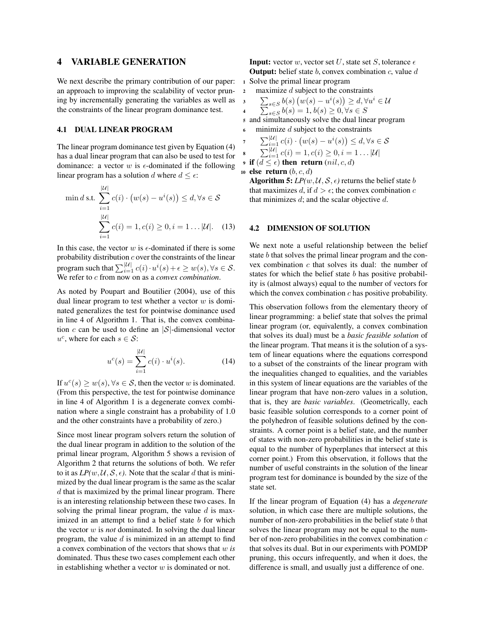# 4 VARIABLE GENERATION

We next describe the primary contribution of our paper: an approach to improving the scalability of vector pruning by incrementally generating the variables as well as the constraints of the linear program dominance test.

## 4.1 DUAL LINEAR PROGRAM

The linear program dominance test given by Equation (4) has a dual linear program that can also be used to test for dominance: a vector  $w$  is  $\epsilon$ -dominated if the following linear program has a solution *d* where  $d \leq \epsilon$ :

$$
\min d \text{ s.t. } \sum_{i=1}^{|U|} c(i) \cdot (w(s) - u^i(s)) \le d, \forall s \in \mathcal{S}
$$

$$
\sum_{i=1}^{|U|} c(i) = 1, c(i) \ge 0, i = 1 \dots |U|. \quad (13)
$$

In this case, the vector  $w$  is  $\epsilon$ -dominated if there is some probability distribution *c* over the constraints of the linear program such that  $\sum_{i=1}^{|\mathcal{U}|} c(i) \cdot u^{i}(s) + \epsilon \geq w(s), \forall s \in \mathcal{S}$ . We refer to *c* from now on as a *convex combination*.

As noted by Poupart and Boutilier (2004), use of this dual linear program to test whether a vector *w* is dominated generalizes the test for pointwise dominance used in line 4 of Algorithm 1. That is, the convex combination *c* can be used to define an *|S|*-dimensional vector  $u^c$ , where for each  $s \in \mathcal{S}$ :

$$
u^{c}(s) = \sum_{i=1}^{|\mathcal{U}|} c(i) \cdot u^{i}(s).
$$
 (14)

If  $u^c(s) \geq w(s)$ ,  $\forall s \in S$ , then the vector *w* is dominated. (From this perspective, the test for pointwise dominance in line 4 of Algorithm 1 is a degenerate convex combination where a single constraint has a probability of 1.0 and the other constraints have a probability of zero.)

Since most linear program solvers return the solution of the dual linear program in addition to the solution of the primal linear program, Algorithm 5 shows a revision of Algorithm 2 that returns the solutions of both. We refer to it as  $LP(w, U, S, \epsilon)$ . Note that the scalar *d* that is minimized by the dual linear program is the same as the scalar *d* that is maximized by the primal linear program. There is an interesting relationship between these two cases. In solving the primal linear program, the value *d* is maximized in an attempt to find a belief state *b* for which the vector *w* is *not* dominated. In solving the dual linear program, the value *d* is minimized in an attempt to find a convex combination of the vectors that shows that *w is* dominated. Thus these two cases complement each other in establishing whether a vector *w* is dominated or not.

**Input:** vector *w*, vector set *U*, state set *S*, tolerance  $\epsilon$ Output: belief state *b*, convex combination *c*, value *d* <sup>1</sup> Solve the primal linear program

- <sup>2</sup> maximize *d* subject to the constraints
	- $\sum_{s \in S} b(s) (w(s) u^i(s)) \ge d, \forall u^i \in \mathcal{U}$

$$
\sum_{s \in S}^{3} b(s) = 1, b(s) \ge 0, \forall s \in S
$$
  
and simultaneously solve the dual linear program

<sup>6</sup> minimize *d* subject to the constraints

$$
\sum_{i=1}^{\left|\mathcal{U}\right|} c(i) \cdot \big(w(s) - u^i(s)\big) \le d, \forall s \in \mathcal{S}
$$
  

$$
\sum_{i=1}^{\left|\mathcal{U}\right|} c(i) = 1, c(i) \ge 0, i = 1 \dots |\mathcal{U}|
$$

8 9 if  $(d \leq \epsilon)$  then return  $(nil, c, d)$ 

```
10 else return (b, c, d)
```
3

4

7

Algorithm 5:  $LP(w, U, S, \epsilon)$  returns the belief state *b* that maximizes *d*, if  $d > \epsilon$ ; the convex combination *c* that minimizes *d*; and the scalar objective *d*.

#### 4.2 DIMENSION OF SOLUTION

We next note a useful relationship between the belief state *b* that solves the primal linear program and the convex combination *c* that solves its dual: the number of states for which the belief state *b* has positive probability is (almost always) equal to the number of vectors for which the convex combination *c* has positive probability.

This observation follows from the elementary theory of linear programming: a belief state that solves the primal linear program (or, equivalently, a convex combination that solves its dual) must be a *basic feasible solution* of the linear program. That means it is the solution of a system of linear equations where the equations correspond to a subset of the constraints of the linear program with the inequalities changed to equalities, and the variables in this system of linear equations are the variables of the linear program that have non-zero values in a solution, that is, they are *basic variables*. (Geometrically, each basic feasible solution corresponds to a corner point of the polyhedron of feasible solutions defined by the constraints. A corner point is a belief state, and the number of states with non-zero probabilities in the belief state is equal to the number of hyperplanes that intersect at this corner point.) From this observation, it follows that the number of useful constraints in the solution of the linear program test for dominance is bounded by the size of the state set.

If the linear program of Equation (4) has a *degenerate* solution, in which case there are multiple solutions, the number of non-zero probabilities in the belief state *b* that solves the linear program may not be equal to the number of non-zero probabilities in the convex combination *c* that solves its dual. But in our experiments with POMDP pruning, this occurs infrequently, and when it does, the difference is small, and usually just a difference of one.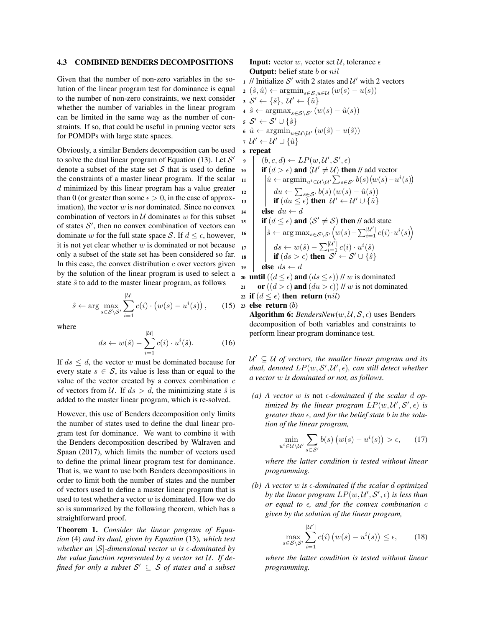#### 4.3 COMBINED BENDERS DECOMPOSITIONS

Given that the number of non-zero variables in the solution of the linear program test for dominance is equal to the number of non-zero constraints, we next consider whether the number of variables in the linear program can be limited in the same way as the number of constraints. If so, that could be useful in pruning vector sets for POMDPs with large state spaces.

Obviously, a similar Benders decomposition can be used to solve the dual linear program of Equation (13). Let  $S'$ denote a subset of the state set *S* that is used to define the constraints of a master linear program. If the scalar *d* minimized by this linear program has a value greater than 0 (or greater than some  $\epsilon > 0$ , in the case of approximation), the vector *w* is *not* dominated. Since no convex combination of vectors in  $U$  dominates  $w$  for this subset of states  $S'$ , then no convex combination of vectors can dominate *w* for the full state space *S*. If  $d \leq \epsilon$ , however, it is not yet clear whether  $w$  is dominated or not because  $\frac{1}{17}$ only a subset of the state set has been considered so far. In this case, the convex distribution  $c$  over vectors given by the solution of the linear program is used to select a state  $\hat{s}$  to add to the master linear program, as follows

$$
\hat{s} \leftarrow \arg \max_{s \in \mathcal{S} \setminus \mathcal{S}'} \sum_{i=1}^{|\mathcal{U}|} c(i) \cdot \left( w(s) - u^i(s) \right), \qquad (15)
$$

where

$$
ds \leftarrow w(\hat{s}) - \sum_{i=1}^{|\mathcal{U}|} c(i) \cdot u^i(\hat{s}). \tag{16}
$$

If  $ds \leq d$ , the vector *w* must be dominated because for every state  $s \in S$ , its value is less than or equal to the value of the vector created by a convex combination *c* of vectors from  $U$ . If  $ds > d$ , the minimizing state  $\hat{s}$  is added to the master linear program, which is re-solved.

However, this use of Benders decomposition only limits the number of states used to define the dual linear program test for dominance. We want to combine it with the Benders decomposition described by Walraven and Spaan (2017), which limits the number of vectors used to define the primal linear program test for dominance. That is, we want to use both Benders decompositions in order to limit both the number of states and the number of vectors used to define a master linear program that is used to test whether a vector *w* is dominated. How we do so is summarized by the following theorem, which has a straightforward proof.

Theorem 1. *Consider the linear program of Equation* (4) *and its dual, given by Equation* (13)*, which test whether an*  $|S|$ *-dimensional vector w is*  $\epsilon$ *-dominated by the value function represented by a vector set U. If defined for only a subset*  $S' \subseteq S$  *of states and a subset*  **Input:** vector *w*, vector set  $\mathcal{U}$ , tolerance  $\epsilon$ Output: belief state *b* or *nil*

1 // Initialize  $S'$  with 2 states and  $U'$  with 2 vectors  $2\left(\hat{s}, \hat{u}\right) \leftarrow \operatorname{argmin}_{s \in \mathcal{S}, u \in \mathcal{U}} \left(w(s) - u(s)\right)$  $3 \mathcal{S}' \leftarrow {\hat{s}}$ ,  $\mathcal{U}' \leftarrow {\hat{u}}$  $\hat{s} \leftarrow \operatorname{argmax}_{s \in \mathcal{S} \backslash \mathcal{S}'} (w(s) - \hat{u}(s))$  $S' \leftarrow S' \cup \{\hat{s}\}$ 6  $\hat{u} \leftarrow \operatorname{argmin}_{u \in \mathcal{U} \setminus \mathcal{U}'} (w(\hat{s}) - u(\hat{s}))$  $\mathcal{U}' + \mathcal{U}' \cup \{\hat{u}\}\$ <sup>8</sup> repeat <sup>9</sup> (*b, c, d*) *LP*(*w, U*<sup>0</sup> *, S*<sup>0</sup> *,* ✏) 10 if  $(d > \epsilon)$  and  $(\mathcal{U}' \neq \mathcal{U})$  then // add vector<br>
11  $\hat{u} \leftarrow \text{argmin}_{\mathcal{U} \in \mathcal{U}} \sum_{x \in \mathcal{U}} b(s) (w(s) - v(s))$  $\hat{u} \leftarrow \arg\!\min_{u^i \in \mathcal{U} \setminus \mathcal{U}'} \sum_{s \in \mathcal{S}'} b(s) \big( w(s) - u^i(s) \big)$  $\begin{array}{|c|c|c|c|c|} \hline \end{array}$   $\begin{array}{|c|c|c|c|c|} \hline \end{array} \begin{array}{c} du \leftarrow \sum_{s \in S'} b(s) (w(s) - \hat{u}(s)) \\ \hline \end{array}$  $\textbf{if} \left( du \leq \epsilon \right) \textbf{ then } \mathcal{U}' \leftarrow \mathcal{U}' \cup \{ \hat{u} \}$ 14 **else**  $du \leftarrow d$ <br>
15 **if**  $(d \leq \epsilon)$  and if  $(d \le \epsilon)$  and  $(S' \ne S)$  then // add state  $\int \hat{s} \leftarrow \arg \max_{s \in \mathcal{S} \setminus \mathcal{S}'} \left( w(s) - \sum_{i=1}^{|\mathcal{U}'|} c(i) \cdot u^i(s) \right)$  $ds \leftarrow w(\hat{s}) - \sum_{i=1}^{\vert \mathcal{U}^{\prime} \vert} c(i) \cdot u^{i}(\hat{s})$  $\textbf{if } (ds > \epsilon) \textbf{ then } \mathcal{S}' \leftarrow \mathcal{S}' \cup \{\hat{s}\}\$ 19 **else**  $ds \leftarrow d$ 

20 until  $((d \le \epsilon)$  and  $(ds \le \epsilon))$  // *w* is dominated<br>21 or  $((d > \epsilon)$  and  $(du > \epsilon))$  // *w* is not dominated or  $((d > \epsilon)$  and  $(du > \epsilon)$ ) // *w* is not dominated 22 if  $(d \leq \epsilon)$  then return  $(nil)$ 

<sup>23</sup> else return (*b*)

Algorithm 6: *BendersNew*( $w, U, S, \epsilon$ ) uses Benders decomposition of both variables and constraints to perform linear program dominance test.

 $U' \subseteq U$  *of vectors, the smaller linear program and its*  $d$ ual, denoted  $LP(w, \mathcal{S}', \mathcal{U}', \epsilon)$ , can still detect whether *a vector w is dominated or not, as follows.*

(a) A vector  $w$  is not  $\epsilon$ -dominated if the scalar  $d$  op*timized by the linear program*  $LP(w, \mathcal{U}', \mathcal{S}', \epsilon)$  *is*  $\alpha$ *greater than*  $\epsilon$ *, and for the belief state b in the solution of the linear program,*

$$
\min_{u^i \in \mathcal{U} \setminus \mathcal{U}'} \sum_{s \in \mathcal{S}'} b(s) \left( w(s) - u^i(s) \right) > \epsilon,\qquad(17)
$$

*where the latter condition is tested without linear programming.*

 $(b)$  A vector  $w$  is  $\epsilon$ -dominated if the scalar  $d$  optimized *by the linear program*  $LP(w, \mathcal{U}', \mathcal{S}', \epsilon)$  *is less than or equal to*  $\epsilon$ *, and for the convex combination c given by the solution of the linear program,*

$$
\max_{s \in \mathcal{S} \backslash \mathcal{S}'} \sum_{i=1}^{|\mathcal{U}'|} c(i) \left( w(s) - u^i(s) \right) \le \epsilon,\qquad(18)
$$

*where the latter condition is tested without linear programming.*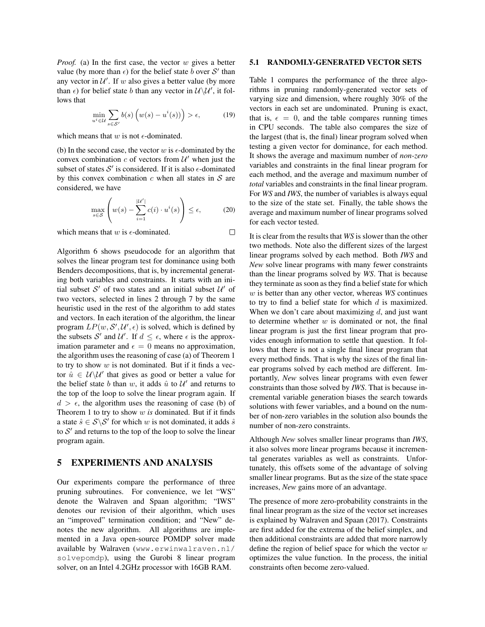*Proof.* (a) In the first case, the vector *w* gives a better value (by more than  $\epsilon$ ) for the belief state *b* over *S'* than any vector in  $U'$ . If *w* also gives a better value (by more than  $\epsilon$ ) for belief state *b* than any vector in  $\mathcal{U}\setminus\mathcal{U}'$ , it follows that

$$
\min_{u^i \in \mathcal{U}} \sum_{s \in \mathcal{S}'} b(s) \left( w(s) - u^i(s) \right) > \epsilon,\tag{19}
$$

which means that  $w$  is not  $\epsilon$ -dominated.

(b) In the second case, the vector  $w$  is  $\epsilon$ -dominated by the convex combination  $c$  of vectors from  $\mathcal{U}'$  when just the subset of states  $S'$  is considered. If it is also  $\epsilon$ -dominated by this convex combination *c* when all states in *S* are considered, we have

$$
\max_{s \in \mathcal{S}} \left( w(s) - \sum_{i=1}^{|\mathcal{U}^{\prime}|} c(i) \cdot u^{i}(s) \right) \le \epsilon, \tag{20}
$$

which means that  $w$  is  $\epsilon$ -dominated.  $\Box$ 

Algorithm 6 shows pseudocode for an algorithm that solves the linear program test for dominance using both Benders decompositions, that is, by incremental generating both variables and constraints. It starts with an initial subset  $S'$  of two states and an initial subset  $U'$  of two vectors, selected in lines 2 through 7 by the same heuristic used in the rest of the algorithm to add states and vectors. In each iteration of the algorithm, the linear program  $LP(w, S', \mathcal{U}', \epsilon)$  is solved, which is defined by the subsets  $S'$  and  $U'$ . If  $d \leq \epsilon$ , where  $\epsilon$  is the approximation parameter and  $\epsilon = 0$  means no approximation, the algorithm uses the reasoning of case (a) of Theorem 1 to try to show *w* is not dominated. But if it finds a vector  $\hat{u} \in \mathcal{U}\backslash \mathcal{U}'$  that gives as good or better a value for the belief state *b* than *w*, it adds  $\hat{u}$  to  $\mathcal{U}'$  and returns to the top of the loop to solve the linear program again. If  $d > \epsilon$ , the algorithm uses the reasoning of case (b) of Theorem 1 to try to show *w is* dominated. But if it finds a state  $\hat{s} \in S \backslash S'$  for which *w* is not dominated, it adds  $\hat{s}$ to  $S<sup>1</sup>$  and returns to the top of the loop to solve the linear program again.

## 5 EXPERIMENTS AND ANALYSIS

Our experiments compare the performance of three pruning subroutines. For convenience, we let "WS" denote the Walraven and Spaan algorithm; "IWS" denotes our revision of their algorithm, which uses an "improved" termination condition; and "New" denotes the new algorithm. All algorithms are implemented in a Java open-source POMDP solver made available by Walraven (www.erwinwalraven.nl/ solvepomdp), using the Gurobi 8 linear program solver, on an Intel 4.2GHz processor with 16GB RAM.

### 5.1 RANDOMLY-GENERATED VECTOR SETS

Table 1 compares the performance of the three algorithms in pruning randomly-generated vector sets of varying size and dimension, where roughly 30% of the vectors in each set are undominated. Pruning is exact, that is,  $\epsilon = 0$ , and the table compares running times in CPU seconds. The table also compares the size of the largest (that is, the final) linear program solved when testing a given vector for dominance, for each method. It shows the average and maximum number of *non-zero* variables and constraints in the final linear program for each method, and the average and maximum number of *total* variables and constraints in the final linear program. For *WS* and *IWS*, the number of variables is always equal to the size of the state set. Finally, the table shows the average and maximum number of linear programs solved for each vector tested.

It is clear from the results that *WS* is slower than the other two methods. Note also the different sizes of the largest linear programs solved by each method. Both *IWS* and *New* solve linear programs with many fewer constraints than the linear programs solved by *WS*. That is because they terminate as soon as they find a belief state for which *w* is better than any other vector, whereas *WS* continues to try to find a belief state for which *d* is maximized. When we don't care about maximizing *d*, and just want to determine whether *w* is dominated or not, the final linear program is just the first linear program that provides enough information to settle that question. It follows that there is not a single final linear program that every method finds. That is why the sizes of the final linear programs solved by each method are different. Importantly, *New* solves linear programs with even fewer constraints than those solved by *IWS*. That is because incremental variable generation biases the search towards solutions with fewer variables, and a bound on the number of non-zero variables in the solution also bounds the number of non-zero constraints.

Although *New* solves smaller linear programs than *IWS*, it also solves more linear programs because it incremental generates variables as well as constraints. Unfortunately, this offsets some of the advantage of solving smaller linear programs. But as the size of the state space increases, *New* gains more of an advantage.

The presence of more zero-probability constraints in the final linear program as the size of the vector set increases is explained by Walraven and Spaan (2017). Constraints are first added for the extrema of the belief simplex, and then additional constraints are added that more narrowly define the region of belief space for which the vector *w* optimizes the value function. In the process, the initial constraints often become zero-valued.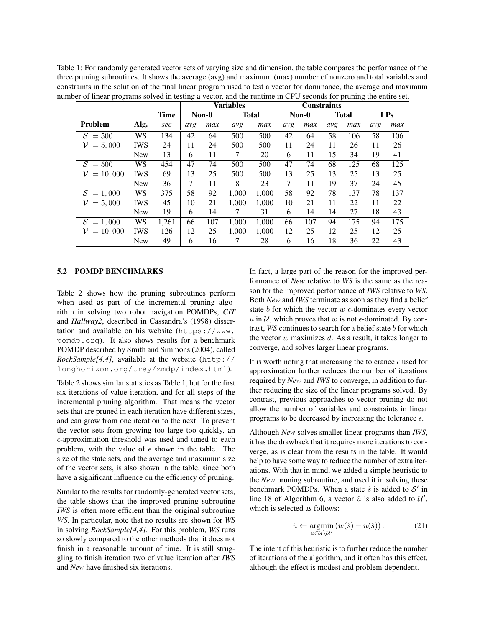Table 1: For randomly generated vector sets of varying size and dimension, the table compares the performance of the three pruning subroutines. It shows the average (avg) and maximum (max) number of nonzero and total variables and constraints in the solution of the final linear program used to test a vector for dominance, the average and maximum number of linear programs solved in testing a vector, and the runtime in CPU seconds for pruning the entire set.

|                              |            |             | <b>Variables</b> |     |              |       | <b>Constraints</b> |     |              |     |     |     |
|------------------------------|------------|-------------|------------------|-----|--------------|-------|--------------------|-----|--------------|-----|-----|-----|
|                              |            | <b>Time</b> | $Non-0$          |     | <b>Total</b> |       | $Non-0$            |     | <b>Total</b> |     | LPs |     |
| <b>Problem</b>               | Alg.       | sec         | avg              | max | avg          | max   | avg                | max | avg          | max | avg | max |
| $ \mathcal{S} $<br>$=500$    | WS         | 134         | 42               | 64  | 500          | 500   | 42                 | 64  | 58           | 106 | 58  | 106 |
| $= 5,000$<br>${\cal V}$      | <b>IWS</b> | 24          | 11               | 24  | 500          | 500   | 11                 | 24  | 11           | 26  | 11  | 26  |
|                              | <b>New</b> | 13          | 6                | 11  | 7            | 20    | 6                  | 11  | 15           | 34  | 19  | 41  |
| $ \mathcal{S}  = 500$        | WS         | 454         | 47               | 74  | 500          | 500   | 47                 | 74  | 68           | 125 | 68  | 125 |
| $= 10,000$<br>${\cal V}$     | <b>IWS</b> | 69          | 13               | 25  | 500          | 500   | 13                 | 25  | 13           | 25  | 13  | 25  |
|                              | <b>New</b> | 36          | 7                | 11  | 8            | 23    | 7                  | 11  | 19           | 37  | 24  | 45  |
| $ \mathcal{S} $<br>$= 1,000$ | WS         | 375         | 58               | 92  | 1.000        | 1,000 | 58                 | 92  | 78           | 137 | 78  | 137 |
| $= 5,000$                    | <b>IWS</b> | 45          | 10               | 21  | 1.000        | 1,000 | 10                 | 21  | 11           | 22  | 11  | 22  |
|                              | <b>New</b> | 19          | 6                | 14  | 7            | 31    | 6                  | 14  | 14           | 27  | 18  | 43  |
| $ S  = 1,000$                | WS         | 1,261       | 66               | 107 | 1.000        | 1,000 | 66                 | 107 | 94           | 175 | 94  | 175 |
| 10,000<br>$=$                | <b>IWS</b> | 126         | 12               | 25  | 1.000        | 1.000 | 12                 | 25  | 12           | 25  | 12  | 25  |
|                              | <b>New</b> | 49          | 6                | 16  | 7            | 28    | 6                  | 16  | 18           | 36  | 22  | 43  |

## 5.2 POMDP BENCHMARKS

Table 2 shows how the pruning subroutines perform when used as part of the incremental pruning algorithm in solving two robot navigation POMDPs, *CIT* and *Hallway2*, described in Cassandra's (1998) dissertation and available on his website (https://www. pomdp.org). It also shows results for a benchmark POMDP described by Smith and Simmons (2004), called *RockSample[4,4]*, available at the website (http:// longhorizon.org/trey/zmdp/index.html).

Table 2 shows similar statistics as Table 1, but for the first six iterations of value iteration, and for all steps of the incremental pruning algorithm. That means the vector sets that are pruned in each iteration have different sizes, and can grow from one iteration to the next. To prevent the vector sets from growing too large too quickly, an  $\epsilon$ -approximation threshold was used and tuned to each problem, with the value of  $\epsilon$  shown in the table. The size of the state sets, and the average and maximum size of the vector sets, is also shown in the table, since both have a significant influence on the efficiency of pruning.

Similar to the results for randomly-generated vector sets, the table shows that the improved pruning subroutine *IWS* is often more efficient than the original subroutine *WS*. In particular, note that no results are shown for *WS* in solving *RockSample[4,4]*. For this problem, *WS* runs so slowly compared to the other methods that it does not finish in a reasonable amount of time. It is still struggling to finish iteration two of value iteration after *IWS* and *New* have finished six iterations.

In fact, a large part of the reason for the improved performance of *New* relative to *WS* is the same as the reason for the improved performance of *IWS* relative to *WS*. Both *New* and *IWS* terminate as soon as they find a belief state  $b$  for which the vector  $w \in$ -dominates every vector  $u$  in  $U$ , which proves that  $w$  is not  $\epsilon$ -dominated. By contrast, *WS* continues to search for a belief state *b* for which the vector *w* maximizes *d*. As a result, it takes longer to converge, and solves larger linear programs.

It is worth noting that increasing the tolerance  $\epsilon$  used for approximation further reduces the number of iterations required by *New* and *IWS* to converge, in addition to further reducing the size of the linear programs solved. By contrast, previous approaches to vector pruning do not allow the number of variables and constraints in linear programs to be decreased by increasing the tolerance  $\epsilon$ .

Although *New* solves smaller linear programs than *IWS*, it has the drawback that it requires more iterations to converge, as is clear from the results in the table. It would help to have some way to reduce the number of extra iterations. With that in mind, we added a simple heuristic to the *New* pruning subroutine, and used it in solving these benchmark POMDPs. When a state  $\hat{s}$  is added to  $S'$  in line 18 of Algorithm 6, a vector  $\hat{u}$  is also added to  $\mathcal{U}'$ , which is selected as follows:

$$
\hat{u} \leftarrow \underset{u \in \mathcal{U} \backslash \mathcal{U}'}{\operatorname{argmin}} \left( w(\hat{s}) - u(\hat{s}) \right). \tag{21}
$$

The intent of this heuristic is to further reduce the number of iterations of the algorithm, and it often has this effect, although the effect is modest and problem-dependent.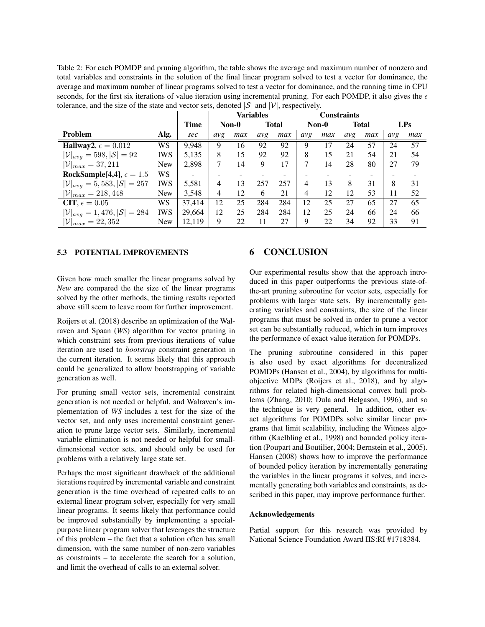Table 2: For each POMDP and pruning algorithm, the table shows the average and maximum number of nonzero and total variables and constraints in the solution of the final linear program solved to test a vector for dominance, the average and maximum number of linear programs solved to test a vector for dominance, and the running time in CPU seconds, for the first six iterations of value iteration using incremental pruning. For each POMDP, it also gives the  $\epsilon$ tolerance, and the size of the state and vector sets, denoted  $|S|$  and  $|V|$ , respectively.

|                                                    |            |        | <b>Variables</b> |     |              | <b>Constraints</b> |       |     |              |     |     |     |
|----------------------------------------------------|------------|--------|------------------|-----|--------------|--------------------|-------|-----|--------------|-----|-----|-----|
|                                                    |            | Time   | Non-0            |     | <b>Total</b> |                    | Non-0 |     | <b>Total</b> |     | LPs |     |
| Problem                                            | Alg.       | sec    | avg              | max | avg          | max                | avg   | max | avg          | max | avg | max |
| Hallway2, $\epsilon = 0.012$                       | <b>WS</b>  | 9,948  | 9                | 16  | 92           | 92                 | 9     | 17  | 24           | 57  | 24  | 57  |
| $ \mathcal{V} _{avg} = 598,  \mathcal{S}  = 92$    | <b>IWS</b> | 5,135  | 8                | 15  | 92           | 92                 | 8     | 15  | 21           | 54  | 21  | 54  |
| $ {\cal V} _{max} = 37,211$                        | <b>New</b> | 2,898  | 7                | 14  | 9            | 17                 | 7     | 14  | 28           | 80  | 27  | 79  |
| RockSample[4,4], $\epsilon = 1.5$                  | WS.        | ۰      |                  |     |              |                    |       |     |              |     |     |     |
| $ \mathcal{V} _{avg} = 5,583,  S  = 257$           | <b>IWS</b> | 5,581  | 4                | 13  | 257          | 257                | 4     | 13  | 8            | 31  | 8   | 31  |
| $ {\cal V} _{max} = 218,448$                       | <b>New</b> | 3,548  | $\overline{4}$   | 12  | 6            | 21                 | 4     | 12  | 12           | 53  | 11  | 52  |
| CIT, $\epsilon = 0.05$                             | <b>WS</b>  | 37.414 | 12               | 25  | 284          | 284                | 12    | 25  | 27           | 65  | 27  | 65  |
| $ \mathcal{V} _{avg} = 1,476,  \mathcal{S}  = 284$ | <b>IWS</b> | 29,664 | 12               | 25  | 284          | 284                | 12    | 25  | 24           | 66  | 24  | 66  |
| $ {\cal V} _{max} = 22,352$                        | <b>New</b> | 12,119 | 9                | 22  | 11           | 27                 | 9     | 22  | 34           | 92  | 33  | 91  |

## 5.3 POTENTIAL IMPROVEMENTS

Given how much smaller the linear programs solved by *New* are compared the the size of the linear programs solved by the other methods, the timing results reported above still seem to leave room for further improvement.

Roijers et al. (2018) describe an optimization of the Walraven and Spaan (*WS*) algorithm for vector pruning in which constraint sets from previous iterations of value iteration are used to *bootstrap* constraint generation in the current iteration. It seems likely that this approach could be generalized to allow bootstrapping of variable generation as well.

For pruning small vector sets, incremental constraint generation is not needed or helpful, and Walraven's implementation of *WS* includes a test for the size of the vector set, and only uses incremental constraint generation to prune large vector sets. Similarly, incremental variable elimination is not needed or helpful for smalldimensional vector sets, and should only be used for problems with a relatively large state set.

Perhaps the most significant drawback of the additional iterations required by incremental variable and constraint generation is the time overhead of repeated calls to an external linear program solver, especially for very small linear programs. It seems likely that performance could be improved substantially by implementing a specialpurpose linear program solver that leverages the structure of this problem – the fact that a solution often has small dimension, with the same number of non-zero variables as constraints – to accelerate the search for a solution, and limit the overhead of calls to an external solver.

# 6 CONCLUSION

Our experimental results show that the approach introduced in this paper outperforms the previous state-ofthe-art pruning subroutine for vector sets, especially for problems with larger state sets. By incrementally generating variables and constraints, the size of the linear programs that must be solved in order to prune a vector set can be substantially reduced, which in turn improves the performance of exact value iteration for POMDPs.

The pruning subroutine considered in this paper is also used by exact algorithms for decentralized POMDPs (Hansen et al., 2004), by algorithms for multiobjective MDPs (Roijers et al., 2018), and by algorithms for related high-dimensional convex hull problems (Zhang, 2010; Dula and Helgason, 1996), and so the technique is very general. In addition, other exact algorithms for POMDPs solve similar linear programs that limit scalability, including the Witness algorithm (Kaelbling et al., 1998) and bounded policy iteration (Poupart and Boutilier, 2004; Bernstein et al., 2005). Hansen (2008) shows how to improve the performance of bounded policy iteration by incrementally generating the variables in the linear programs it solves, and incrementally generating both variables and constraints, as described in this paper, may improve performance further.

#### Acknowledgements

Partial support for this research was provided by National Science Foundation Award IIS:RI #1718384.